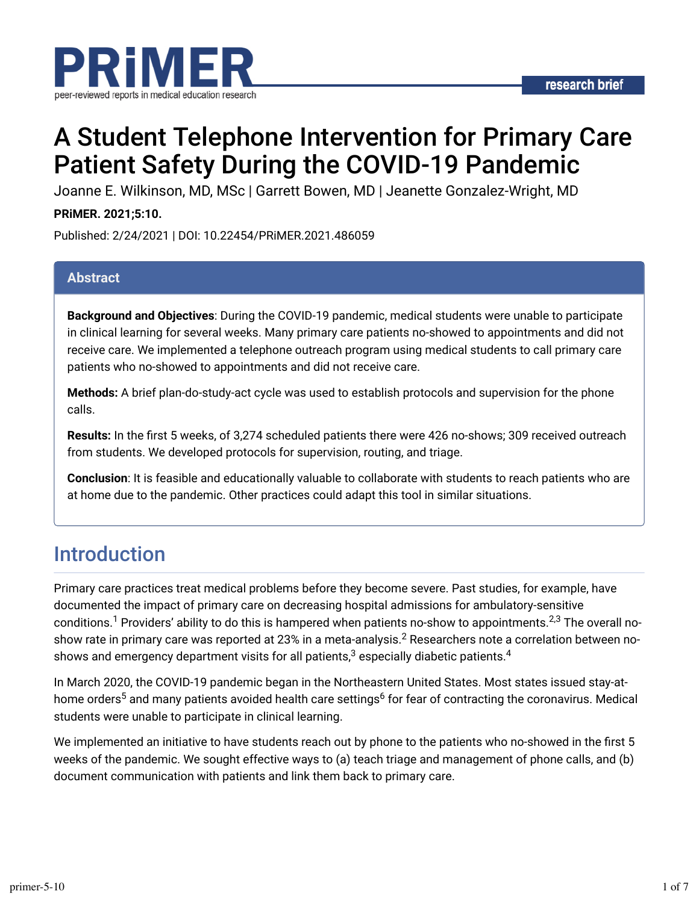

# A Student Telephone Intervention for Primary Care Patient Safety During the COVID-19 Pandemic

Joanne E. Wilkinson, MD, MSc | Garrett Bowen, MD | Jeanette Gonzalez-Wright, MD

### **PRiMER. 2021;5:10.**

Published: 2/24/2021 | DOI: 10.22454/PRiMER.2021.486059

### **Abstract**

**Background and Objectives**: During the COVID-19 pandemic, medical students were unable to participate in clinical learning for several weeks. Many primary care patients no-showed to appointments and did not receive care. We implemented a telephone outreach program using medical students to call primary care patients who no-showed to appointments and did not receive care.

**Methods:** A brief plan-do-study-act cycle was used to establish protocols and supervision for the phone calls.

Results: In the first 5 weeks, of 3,274 scheduled patients there were 426 no-shows; 309 received outreach from students. We developed protocols for supervision, routing, and triage.

**Conclusion**: It is feasible and educationally valuable to collaborate with students to reach patients who are at home due to the pandemic. Other practices could adapt this tool in similar situations.

## Introduction

Primary care practices treat medical problems before they become severe. Past studies, for example, have documented the impact of primary care on decreasing hospital admissions for ambulatory-sensitive conditions. $^1$  Providers' ability to do this is hampered when patients no-show to appointments. $^{2,3}$  The overall noshow rate in primary care was reported at 23% in a meta-analysis. $^{\rm 2}$  Researchers note a correlation between noshows and emergency department visits for all patients, $^3$  especially diabetic patients. $^4$ 

In March 2020, the COVID-19 pandemic began in the Northeastern United States. Most states issued stay-athome orders<sup>5</sup> and many patients avoided health care settings<sup>6</sup> for fear of contracting the coronavirus. Medical students were unable to participate in clinical learning.

We implemented an initiative to have students reach out by phone to the patients who no-showed in the first 5 weeks of the pandemic. We sought effective ways to (a) teach triage and management of phone calls, and (b) document communication with patients and link them back to primary care.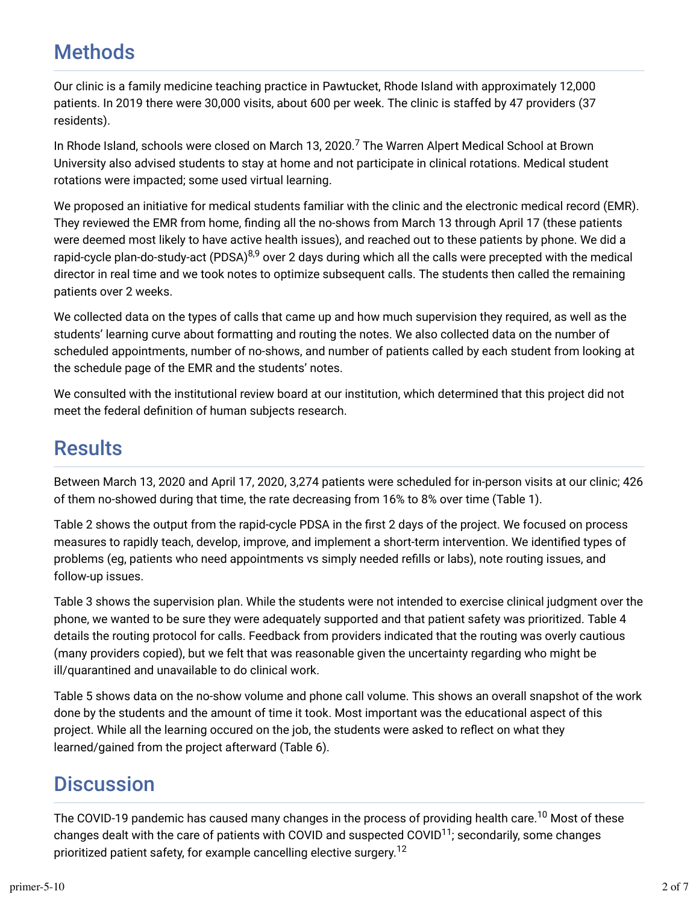# **Methods**

Our clinic is a family medicine teaching practice in Pawtucket, Rhode Island with approximately 12,000 patients. In 2019 there were 30,000 visits, about 600 per week. The clinic is staffed by 47 providers (37 residents).

In Rhode Island, schools were closed on March 13, 2020.<sup>7</sup> The Warren Alpert Medical School at Brown University also advised students to stay at home and not participate in clinical rotations. Medical student rotations were impacted; some used virtual learning.

We proposed an initiative for medical students familiar with the clinic and the electronic medical record (EMR). They reviewed the EMR from home, finding all the no-shows from March 13 through April 17 (these patients were deemed most likely to have active health issues), and reached out to these patients by phone. We did a rapid-cycle plan-do-study-act (PDSA)<sup>8,9</sup> over 2 days during which all the calls were precepted with the medical director in real time and we took notes to optimize subsequent calls. The students then called the remaining patients over 2 weeks.

We collected data on the types of calls that came up and how much supervision they required, as well as the students' learning curve about formatting and routing the notes. We also collected data on the number of scheduled appointments, number of no-shows, and number of patients called by each student from looking at the schedule page of the EMR and the students' notes.

We consulted with the institutional review board at our institution, which determined that this project did not meet the federal definition of human subjects research.

# **Results**

Between March 13, 2020 and April 17, 2020, 3,274 patients were scheduled for in-person visits at our clinic; 426 of them no-showed during that time, the rate decreasing from 16% to 8% over time (Table 1).

Table 2 shows the output from the rapid-cycle PDSA in the first 2 days of the project. We focused on process measures to rapidly teach, develop, improve, and implement a short-term intervention. We identified types of problems (eg, patients who need appointments vs simply needed refills or labs), note routing issues, and follow-up issues.

Table 3 shows the supervision plan. While the students were not intended to exercise clinical judgment over the phone, we wanted to be sure they were adequately supported and that patient safety was prioritized. Table 4 details the routing protocol for calls. Feedback from providers indicated that the routing was overly cautious (many providers copied), but we felt that was reasonable given the uncertainty regarding who might be ill/quarantined and unavailable to do clinical work.

Table 5 shows data on the no-show volume and phone call volume. This shows an overall snapshot of the work done by the students and the amount of time it took. Most important was the educational aspect of this project. While all the learning occured on the job, the students were asked to refect on what they learned/gained from the project afterward (Table 6).

# **Discussion**

The COVID-19 pandemic has caused many changes in the process of providing health care. $^{10}$  Most of these changes dealt with the care of patients with COVID and suspected COVID $^{11}$ ; secondarily, some changes prioritized patient safety, for example cancelling elective surgery.<sup>12</sup>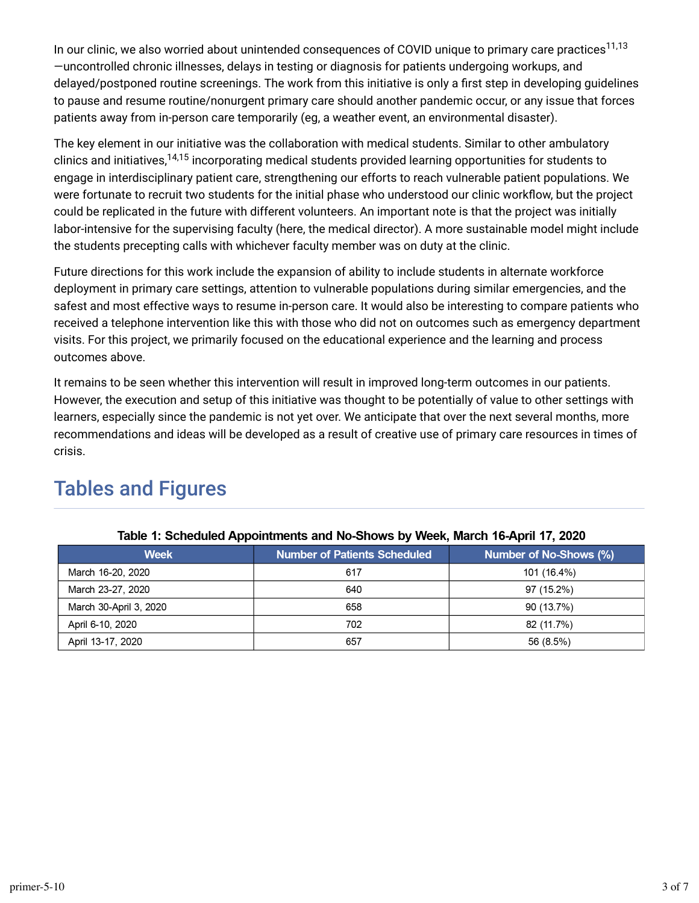In our clinic, we also worried about unintended consequences of COVID unique to primary care practices<sup>11,13</sup> —uncontrolled chronic illnesses, delays in testing or diagnosis for patients undergoing workups, and delayed/postponed routine screenings. The work from this initiative is only a first step in developing guidelines to pause and resume routine/nonurgent primary care should another pandemic occur, or any issue that forces patients away from in-person care temporarily (eg, a weather event, an environmental disaster).

The key element in our initiative was the collaboration with medical students. Similar to other ambulatory clinics and initiatives,<sup>14,15</sup> incorporating medical students provided learning opportunities for students to engage in interdisciplinary patient care, strengthening our efforts to reach vulnerable patient populations. We were fortunate to recruit two students for the initial phase who understood our clinic workflow, but the project could be replicated in the future with different volunteers. An important note is that the project was initially labor-intensive for the supervising faculty (here, the medical director). A more sustainable model might include the students precepting calls with whichever faculty member was on duty at the clinic.

Future directions for this work include the expansion of ability to include students in alternate workforce deployment in primary care settings, attention to vulnerable populations during similar emergencies, and the safest and most effective ways to resume in-person care. It would also be interesting to compare patients who received a telephone intervention like this with those who did not on outcomes such as emergency department visits. For this project, we primarily focused on the educational experience and the learning and process outcomes above.

It remains to be seen whether this intervention will result in improved long-term outcomes in our patients. However, the execution and setup of this initiative was thought to be potentially of value to other settings with learners, especially since the pandemic is not yet over. We anticipate that over the next several months, more recommendations and ideas will be developed as a result of creative use of primary care resources in times of crisis.

| $1$ abic 1. Octiculared Appointments and NO-ONOVS by Ween, March To-Aphil 17, 2020 |                              |                        |  |  |
|------------------------------------------------------------------------------------|------------------------------|------------------------|--|--|
| <b>Week</b>                                                                        | Number of Patients Scheduled | Number of No-Shows (%) |  |  |
| March 16-20, 2020                                                                  | 617                          | 101 (16.4%)            |  |  |
| March 23-27, 2020                                                                  | 640                          | 97 (15.2%)             |  |  |
| March 30-April 3, 2020                                                             | 658                          | 90 (13.7%)             |  |  |
| April 6-10, 2020                                                                   | 702                          | 82 (11.7%)             |  |  |
| April 13-17, 2020                                                                  | 657                          | 56 (8.5%)              |  |  |

# Tables and Figures

#### Table 1: Scheduled Annointments and No-Shows by Week March 16-April 17, 2020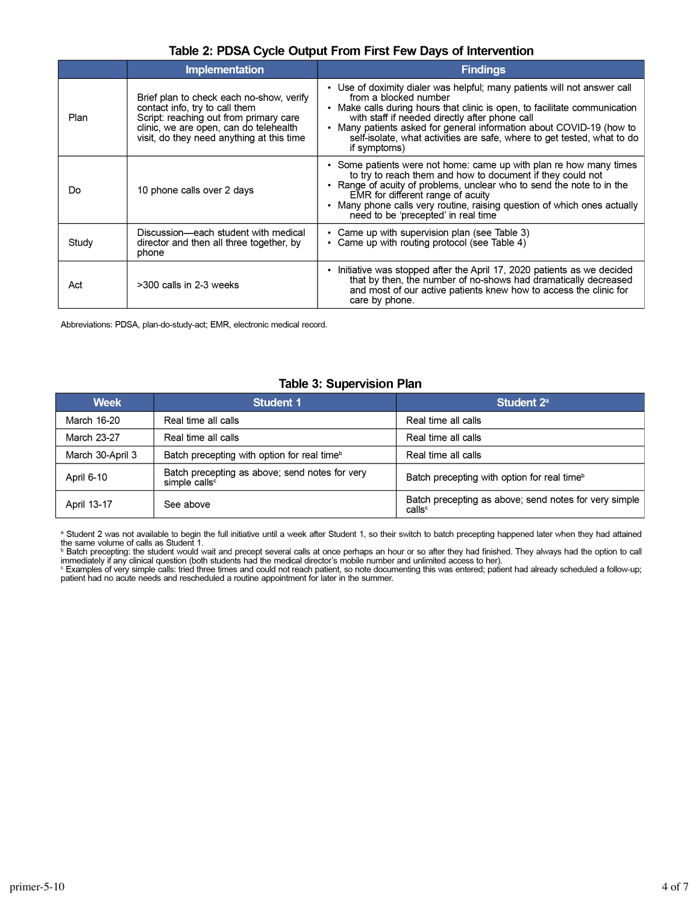#### Table 2: PDSA Cycle Output From First Few Days of Intervention

|       | <b>Implementation</b>                                                                                                                                                                                       | <b>Findings</b>                                                                                                                                                                                                                                                                                                                                                                                                 |
|-------|-------------------------------------------------------------------------------------------------------------------------------------------------------------------------------------------------------------|-----------------------------------------------------------------------------------------------------------------------------------------------------------------------------------------------------------------------------------------------------------------------------------------------------------------------------------------------------------------------------------------------------------------|
| Plan  | Brief plan to check each no-show, verify<br>contact info, try to call them<br>Script: reaching out from primary care<br>clinic, we are open, can do telehealth<br>visit, do they need anything at this time | • Use of doximity dialer was helpful; many patients will not answer call<br>from a blocked number<br>Make calls during hours that clinic is open, to facilitate communication<br>$\bullet$<br>with staff if needed directly after phone call<br>• Many patients asked for general information about COVID-19 (how to<br>self-isolate, what activities are safe, where to get tested, what to do<br>if symptoms) |
| Do    | 10 phone calls over 2 days                                                                                                                                                                                  | • Some patients were not home: came up with plan re how many times<br>to try to reach them and how to document if they could not<br>• Range of acuity of problems, unclear who to send the note to in the<br>EMR for different range of acuity<br>• Many phone calls very routine, raising question of which ones actually<br>need to be 'precepted' in real time                                               |
| Study | Discussion—each student with medical<br>director and then all three together, by<br>phone                                                                                                                   | Came up with supervision plan (see Table 3)<br>Came up with routing protocol (see Table 4)                                                                                                                                                                                                                                                                                                                      |
| Act   | >300 calls in 2-3 weeks                                                                                                                                                                                     | Initiative was stopped after the April 17, 2020 patients as we decided<br>٠<br>that by then, the number of no-shows had dramatically decreased<br>and most of our active patients knew how to access the clinic for<br>care by phone.                                                                                                                                                                           |

Abbreviations: PDSA, plan-do-study-act; EMR, electronic medical record.

#### **Table 3: Supervision Plan**

| <b>Week</b>      | <b>Student 1</b>                                                            | Student 2 <sup>a</sup>                                                      |
|------------------|-----------------------------------------------------------------------------|-----------------------------------------------------------------------------|
| March 16-20      | Real time all calls                                                         | Real time all calls                                                         |
| March 23-27      | Real time all calls                                                         | Real time all calls                                                         |
| March 30-April 3 | Batch precepting with option for real time <sup>b</sup>                     | Real time all calls                                                         |
| April 6-10       | Batch precepting as above; send notes for very<br>simple calls <sup>c</sup> | Batch precepting with option for real time <sup>b</sup>                     |
| April 13-17      | See above                                                                   | Batch precepting as above; send notes for very simple<br>calls <sup>c</sup> |

<sup>a</sup> Student 2 was not available to begin the full initiative until a week after Student 1, so their switch to batch precepting happened later when they had attained the same volume of calls as Student 1.<br><sup>b</sup> Batch precepti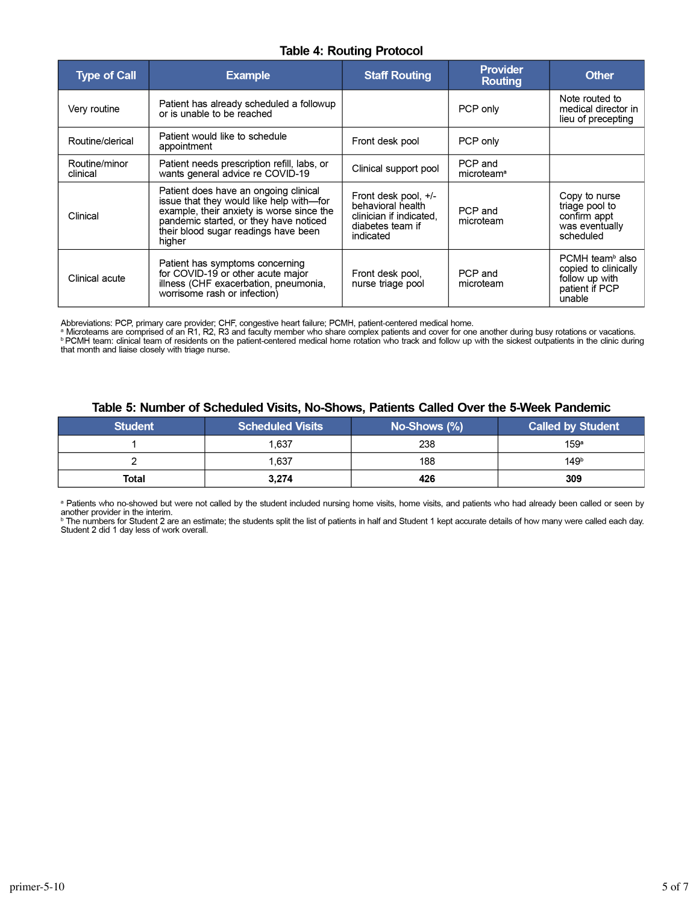#### **Table 4: Routing Protocol**

| <b>Type of Call</b>       | <b>Example</b>                                                                                                                                                                                                             | <b>Staff Routing</b>                                                                                    | <b>Provider</b><br>Routing        | <b>Other</b>                                                                                      |
|---------------------------|----------------------------------------------------------------------------------------------------------------------------------------------------------------------------------------------------------------------------|---------------------------------------------------------------------------------------------------------|-----------------------------------|---------------------------------------------------------------------------------------------------|
| Very routine              | Patient has already scheduled a followup<br>or is unable to be reached                                                                                                                                                     |                                                                                                         | PCP only                          | Note routed to<br>medical director in<br>lieu of precepting                                       |
| Routine/clerical          | Patient would like to schedule<br>appointment                                                                                                                                                                              | Front desk pool                                                                                         | PCP only                          |                                                                                                   |
| Routine/minor<br>clinical | Patient needs prescription refill, labs, or<br>wants general advice re COVID-19                                                                                                                                            | Clinical support pool                                                                                   | PCP and<br>microteam <sup>a</sup> |                                                                                                   |
| Clinical                  | Patient does have an ongoing clinical<br>issue that they would like help with-for<br>example, their anxiety is worse since the<br>pandemic started, or they have noticed<br>their blood sugar readings have been<br>higher | Front desk pool, $+/-$<br>behavioral health<br>clinician if indicated.<br>diabetes team if<br>indicated | PCP and<br>microteam              | Copy to nurse<br>triage pool to<br>confirm appt<br>was eventually<br>scheduled                    |
| Clinical acute            | Patient has symptoms concerning<br>for COVID-19 or other acute major<br>illness (CHF exacerbation, pneumonia,<br>worrisome rash or infection)                                                                              | Front desk pool,<br>nurse triage pool                                                                   | PCP and<br>microteam              | PCMH team <sup>b</sup> also<br>copied to clinically<br>follow up with<br>patient if PCP<br>unable |

Abbreviations: PCP, primary care provider; CHF, congestive heart failure; PCMH, patient-centered medical home.<br><sup>a</sup> Microteams are comprised of an R1, R2, R3 and faculty member who share complex patients and cover for one a that month and liaise closely with triage nurse.

#### Table 5: Number of Scheduled Visits, No-Shows, Patients Called Over the 5-Week Pandemic

| <b>Student</b> | <b>Scheduled Visits</b> | $No-Shows (%)$ | <b>Called by Student</b> |
|----------------|-------------------------|----------------|--------------------------|
|                | 1.637                   | 238            | 159 <sup>a</sup>         |
|                | 1,637                   | 188            | 149 <sup>b</sup>         |
| Total          | 3,274                   | 426            | 309                      |

a Patients who no-showed but were not called by the student included nursing home visits, home visits, and patients who had already been called or seen by another provider in the interim.

<sup>b</sup> The numbers for Student 2 are an estimate; the students split the list of patients in half and Student 1 kept accurate details of how many were called each day. Student 2 did 1 day less of work overall.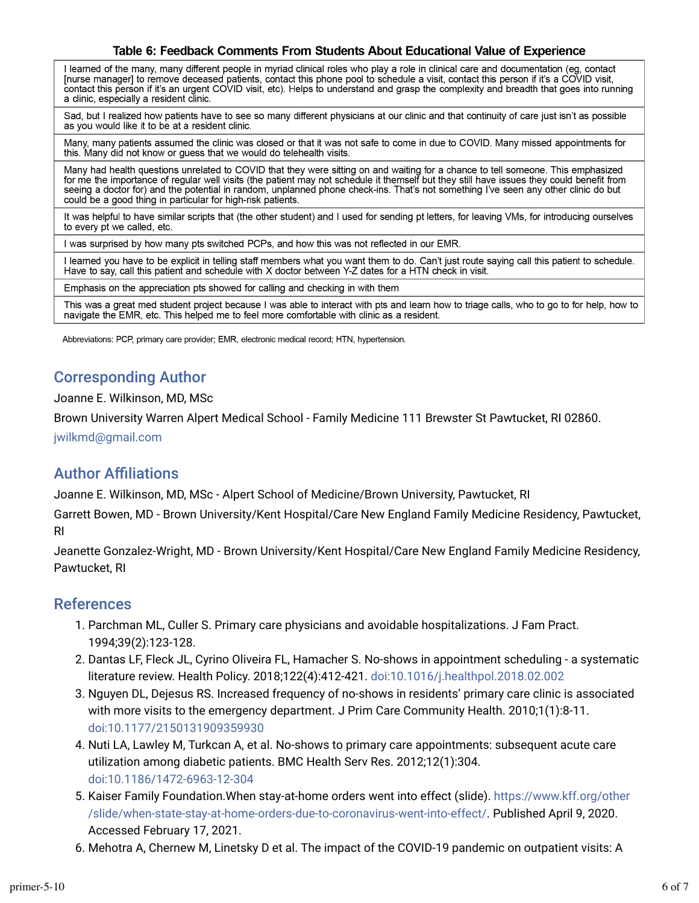#### Table 6: Feedback Comments From Students About Educational Value of Experience

I learned of the many, many different people in myriad clinical roles who play a role in clinical care and documentation (eg, contact [nurse manager] to remove deceased patients, contact this phone pool to schedule a visit, contact this person if it's a COVID visit, contact this person if it's a COVID visit, contact this person if it's an urgent COVID vi a clinic, especially a resident clinic.

Sad, but I realized how patients have to see so many different physicians at our clinic and that continuity of care just isn't as possible as you would like it to be at a resident clinic.

Many, many patients assumed the clinic was closed or that it was not safe to come in due to COVID. Many missed appointments for this. Many did not know or guess that we would do telehealth visits.

Many had health questions unrelated to COVID that they were sitting on and waiting for a chance to tell someone. This emphasized for me the importance of regular well visits (the patient may not schedule it themself but they still have issues they could benefit from seeing a doctor for) and the potential in random, unplanned phone check-ins. That's not something I've seen any other clinic do but could be a good thing in particular for high-risk patients.

It was helpful to have similar scripts that (the other student) and I used for sending pt letters, for leaving VMs, for introducing ourselves to every pt we called, etc.

I was surprised by how many pts switched PCPs, and how this was not reflected in our EMR.

I learned you have to be explicit in telling staff members what you want them to do. Can't just route saying call this patient to schedule. Have to say, call this patient and schedule with X doctor between Y-Z dates for a HTN check in visit.

Emphasis on the appreciation pts showed for calling and checking in with them

This was a great med student project because I was able to interact with pts and learn how to triage calls, who to go to for help, how to navigate the EMR, etc. This helped me to feel more comfortable with clinic as a resident.

Abbreviations: PCP, primary care provider; EMR, electronic medical record; HTN, hypertension.

### Corresponding Author

Joanne E. Wilkinson, MD, MSc

Brown University Warren Alpert Medical School - Family Medicine 111 Brewster St Pawtucket, RI 02860.

jwilkmd@gmail.com

### **Author Affiliations**

Joanne E. Wilkinson, MD, MSc - Alpert School of Medicine/Brown University, Pawtucket, RI

Garrett Bowen, MD - Brown University/Kent Hospital/Care New England Family Medicine Residency, Pawtucket, RI

Jeanette Gonzalez-Wright, MD - Brown University/Kent Hospital/Care New England Family Medicine Residency, Pawtucket, RI

### References

- 1. Parchman ML, Culler S. Primary care physicians and avoidable hospitalizations. J Fam Pract. 1994;39(2):123-128.
- 2. Dantas LF, Fleck JL, Cyrino Oliveira FL, Hamacher S. No-shows in appointment scheduling a systematic literature review. Health Policy. 2018;122(4):412-421. doi:10.1016/j.healthpol.2018.02.002
- 3. Nguyen DL, Dejesus RS. Increased frequency of no-shows in residents' primary care clinic is associated with more visits to the emergency department. J Prim Care Community Health. 2010;1(1):8-11. doi:10.1177/2150131909359930
- 4. Nuti LA, Lawley M, Turkcan A, et al. No-shows to primary care appointments: subsequent acute care utilization among diabetic patients. BMC Health Serv Res. 2012;12(1):304. doi:10.1186/1472-6963-12-304
- 5. Kaiser Family Foundation.When stay-at-home orders went into effect (slide). https://www.kff.org/other /slide/when-state-stay-at-home-orders-due-to-coronavirus-went-into-effect/. Published April 9, 2020. Accessed February 17, 2021.
- 6. Mehotra A, Chernew M, Linetsky D et al. The impact of the COVID-19 pandemic on outpatient visits: A